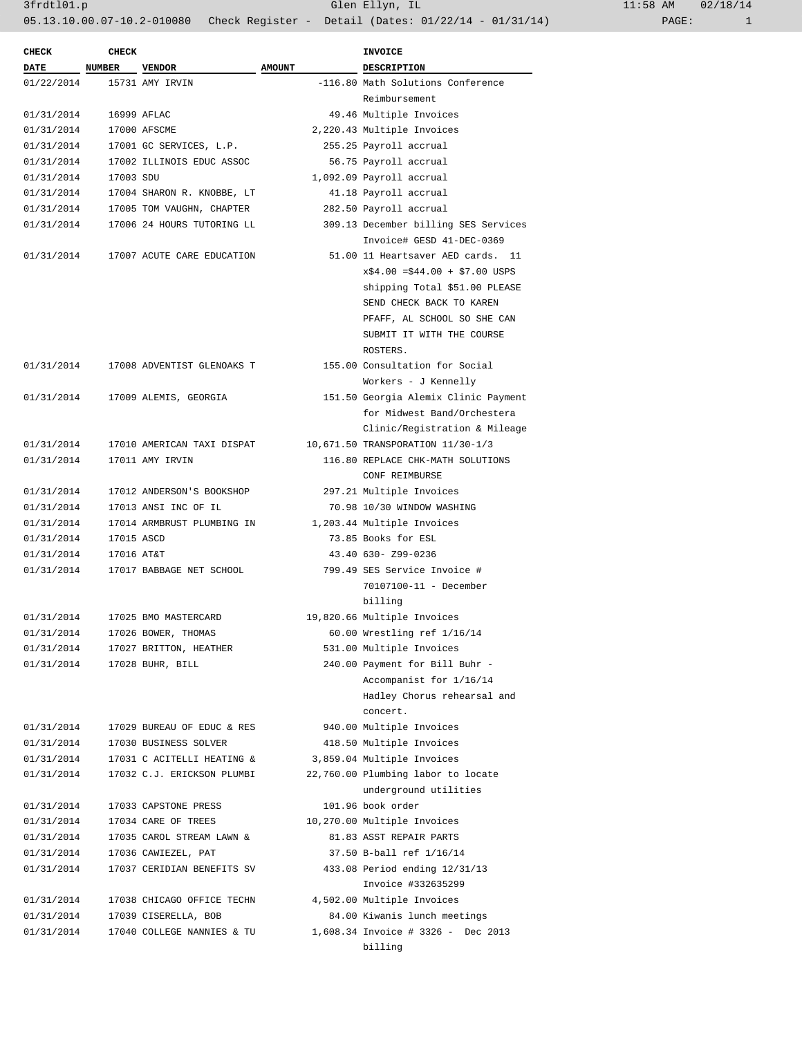| <b>CHECK</b> | <b>CHECK</b> |                            |               | INVOICE                              |
|--------------|--------------|----------------------------|---------------|--------------------------------------|
| <b>DATE</b>  | NUMBER       | <b>VENDOR</b>              | <b>AMOUNT</b> | DESCRIPTION                          |
| 01/22/2014   |              | 15731 AMY IRVIN            |               | -116.80 Math Solutions Conference    |
|              |              |                            |               | Reimbursement                        |
| 01/31/2014   |              | 16999 AFLAC                |               | 49.46 Multiple Invoices              |
| 01/31/2014   |              | 17000 AFSCME               |               | 2,220.43 Multiple Invoices           |
| 01/31/2014   |              | 17001 GC SERVICES, L.P.    |               | 255.25 Payroll accrual               |
| 01/31/2014   |              | 17002 ILLINOIS EDUC ASSOC  |               | 56.75 Payroll accrual                |
| 01/31/2014   | 17003 SDU    |                            |               | 1,092.09 Payroll accrual             |
| 01/31/2014   |              | 17004 SHARON R. KNOBBE, LT |               | 41.18 Payroll accrual                |
| 01/31/2014   |              | 17005 TOM VAUGHN, CHAPTER  |               | 282.50 Payroll accrual               |
| 01/31/2014   |              | 17006 24 HOURS TUTORING LL |               | 309.13 December billing SES Services |
|              |              |                            |               | Invoice# GESD 41-DEC-0369            |
| 01/31/2014   |              | 17007 ACUTE CARE EDUCATION |               | 51.00 11 Heartsaver AED cards. 11    |
|              |              |                            |               | $x$4.00 = $44.00 + $7.00$ USPS       |
|              |              |                            |               | shipping Total \$51.00 PLEASE        |
|              |              |                            |               | SEND CHECK BACK TO KAREN             |
|              |              |                            |               | PFAFF, AL SCHOOL SO SHE CAN          |
|              |              |                            |               | SUBMIT IT WITH THE COURSE            |
|              |              |                            |               | ROSTERS.                             |
|              |              |                            |               | 155.00 Consultation for Social       |
| 01/31/2014   |              | 17008 ADVENTIST GLENOAKS T |               |                                      |
|              |              |                            |               | Workers - J Kennelly                 |
| 01/31/2014   |              | 17009 ALEMIS, GEORGIA      |               | 151.50 Georgia Alemix Clinic Payment |
|              |              |                            |               | for Midwest Band/Orchestera          |
|              |              |                            |               | Clinic/Registration & Mileage        |
| 01/31/2014   |              | 17010 AMERICAN TAXI DISPAT |               | 10,671.50 TRANSPORATION 11/30-1/3    |
| 01/31/2014   |              | 17011 AMY IRVIN            |               | 116.80 REPLACE CHK-MATH SOLUTIONS    |
|              |              |                            |               | CONF REIMBURSE                       |
| 01/31/2014   |              | 17012 ANDERSON'S BOOKSHOP  |               | 297.21 Multiple Invoices             |
| 01/31/2014   |              | 17013 ANSI INC OF IL       |               | 70.98 10/30 WINDOW WASHING           |
| 01/31/2014   |              | 17014 ARMBRUST PLUMBING IN |               | 1,203.44 Multiple Invoices           |
| 01/31/2014   | 17015 ASCD   |                            |               | 73.85 Books for ESL                  |
| 01/31/2014   | 17016 AT&T   |                            |               | 43.40 630- Z99-0236                  |
| 01/31/2014   |              | 17017 BABBAGE NET SCHOOL   |               | 799.49 SES Service Invoice #         |
|              |              |                            |               | 70107100-11 - December               |
|              |              |                            |               | billing                              |
| 01/31/2014   |              | 17025 BMO MASTERCARD       |               | 19,820.66 Multiple Invoices          |
| 01/31/2014   |              | 17026 BOWER, THOMAS        |               | 60.00 Wrestling ref 1/16/14          |
| 01/31/2014   |              | 17027 BRITTON, HEATHER     |               | 531.00 Multiple Invoices             |
| 01/31/2014   |              | 17028 BUHR, BILL           |               | 240.00 Payment for Bill Buhr -       |
|              |              |                            |               | Accompanist for 1/16/14              |
|              |              |                            |               | Hadley Chorus rehearsal and          |
|              |              |                            |               | concert.                             |
| 01/31/2014   |              | 17029 BUREAU OF EDUC & RES |               | 940.00 Multiple Invoices             |
| 01/31/2014   |              | 17030 BUSINESS SOLVER      |               | 418.50 Multiple Invoices             |
| 01/31/2014   |              | 17031 C ACITELLI HEATING & |               | 3,859.04 Multiple Invoices           |
| 01/31/2014   |              | 17032 C.J. ERICKSON PLUMBI |               | 22,760.00 Plumbing labor to locate   |
|              |              |                            |               | underground utilities                |
| 01/31/2014   |              | 17033 CAPSTONE PRESS       |               | 101.96 book order                    |
| 01/31/2014   |              | 17034 CARE OF TREES        |               | 10,270.00 Multiple Invoices          |
| 01/31/2014   |              | 17035 CAROL STREAM LAWN &  |               | 81.83 ASST REPAIR PARTS              |
| 01/31/2014   |              | 17036 CAWIEZEL, PAT        |               | 37.50 B-ball ref 1/16/14             |
| 01/31/2014   |              | 17037 CERIDIAN BENEFITS SV |               | 433.08 Period ending 12/31/13        |
|              |              |                            |               | Invoice #332635299                   |
| 01/31/2014   |              | 17038 CHICAGO OFFICE TECHN |               | 4,502.00 Multiple Invoices           |
| 01/31/2014   |              | 17039 CISERELLA, BOB       |               | 84.00 Kiwanis lunch meetings         |
| 01/31/2014   |              | 17040 COLLEGE NANNIES & TU |               | 1,608.34 Invoice # 3326 - Dec 2013   |
|              |              |                            |               |                                      |
|              |              |                            |               | billing                              |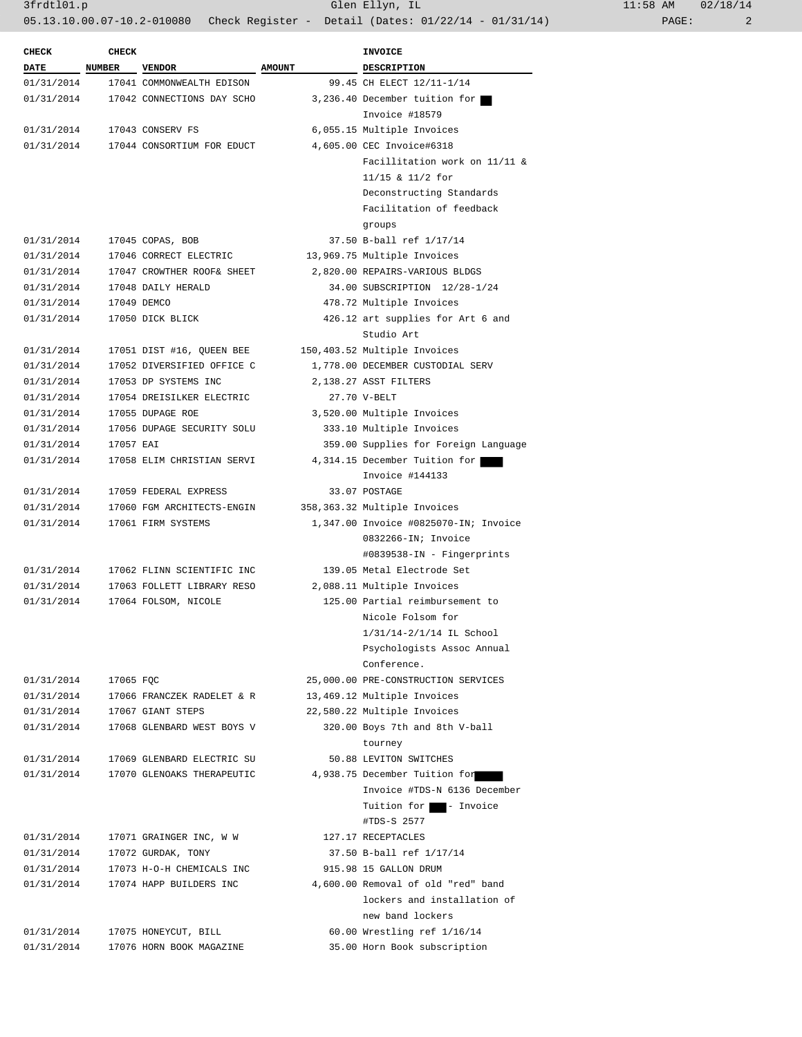3frdtl01.p Glen Ellyn, IL 11:58 AM 02/18/14

05.13.10.00.07-10.2-010080 Check Register - Detail (Dates: 01/22/14 - 01/31/14) PAGE: 2

| <b>CHECK</b> | <b>CHECK</b> |                            |               | INVOICE                                                       |
|--------------|--------------|----------------------------|---------------|---------------------------------------------------------------|
| <b>DATE</b>  | NUMBER       | <b>VENDOR</b>              | <b>AMOUNT</b> | DESCRIPTION                                                   |
| 01/31/2014   |              | 17041 COMMONWEALTH EDISON  |               | 99.45 CH ELECT 12/11-1/14                                     |
| 01/31/2014   |              | 17042 CONNECTIONS DAY SCHO |               | 3,236.40 December tuition for                                 |
|              |              | Invoice #18579             |               |                                                               |
| 01/31/2014   |              | 17043 CONSERV FS           |               | 6,055.15 Multiple Invoices                                    |
| 01/31/2014   |              | 17044 CONSORTIUM FOR EDUCT |               | 4,605.00 CEC Invoice#6318                                     |
|              |              |                            |               | Facillitation work on 11/11 &                                 |
|              |              |                            |               | $11/15$ & $11/2$ for                                          |
|              |              |                            |               | Deconstructing Standards                                      |
|              |              |                            |               | Facilitation of feedback                                      |
|              |              |                            |               | groups                                                        |
| 01/31/2014   |              | 17045 COPAS, BOB           |               | 37.50 B-ball ref 1/17/14                                      |
| 01/31/2014   |              | 17046 CORRECT ELECTRIC     |               | 13,969.75 Multiple Invoices                                   |
| 01/31/2014   |              | 17047 CROWTHER ROOF& SHEET |               | 2,820.00 REPAIRS-VARIOUS BLDGS                                |
| 01/31/2014   |              | 17048 DAILY HERALD         |               | 34.00 SUBSCRIPTION 12/28-1/24                                 |
| 01/31/2014   |              | 17049 DEMCO                |               | 478.72 Multiple Invoices                                      |
| 01/31/2014   |              | 17050 DICK BLICK           |               | 426.12 art supplies for Art 6 and                             |
|              |              |                            |               | Studio Art                                                    |
| 01/31/2014   |              | 17051 DIST #16, QUEEN BEE  |               | 150,403.52 Multiple Invoices                                  |
| 01/31/2014   |              | 17052 DIVERSIFIED OFFICE C |               | 1,778.00 DECEMBER CUSTODIAL SERV                              |
| 01/31/2014   |              | 17053 DP SYSTEMS INC       |               | 2,138.27 ASST FILTERS                                         |
| 01/31/2014   |              | 17054 DREISILKER ELECTRIC  |               | 27.70 V-BELT                                                  |
| 01/31/2014   |              | 17055 DUPAGE ROE           |               | 3,520.00 Multiple Invoices                                    |
| 01/31/2014   |              | 17056 DUPAGE SECURITY SOLU |               | 333.10 Multiple Invoices                                      |
| 01/31/2014   | 17057 EAI    |                            |               | 359.00 Supplies for Foreign Language                          |
| 01/31/2014   |              | 17058 ELIM CHRISTIAN SERVI |               | 4,314.15 December Tuition for                                 |
|              |              |                            |               | Invoice #144133                                               |
| 01/31/2014   |              | 17059 FEDERAL EXPRESS      |               | 33.07 POSTAGE                                                 |
| 01/31/2014   |              | 17060 FGM ARCHITECTS-ENGIN |               | 358,363.32 Multiple Invoices                                  |
| 01/31/2014   |              | 17061 FIRM SYSTEMS         |               | 1,347.00 Invoice #0825070-IN; Invoice                         |
|              |              |                            |               | 0832266-IN; Invoice                                           |
|              |              |                            |               | #0839538-IN - Fingerprints                                    |
| 01/31/2014   |              | 17062 FLINN SCIENTIFIC INC |               | 139.05 Metal Electrode Set                                    |
| 01/31/2014   |              | 17063 FOLLETT LIBRARY RESO |               |                                                               |
| 01/31/2014   |              |                            |               | 2,088.11 Multiple Invoices<br>125.00 Partial reimbursement to |
|              |              | 17064 FOLSOM, NICOLE       |               | Nicole Folsom for                                             |
|              |              |                            |               |                                                               |
|              |              |                            |               | 1/31/14-2/1/14 IL School<br>Psychologists Assoc Annual        |
|              |              |                            |               |                                                               |
|              |              |                            |               | Conference.                                                   |
| 01/31/2014   | 17065 FQC    |                            |               | 25,000.00 PRE-CONSTRUCTION SERVICES                           |
| 01/31/2014   |              | 17066 FRANCZEK RADELET & R |               | 13,469.12 Multiple Invoices                                   |
| 01/31/2014   |              | 17067 GIANT STEPS          |               | 22,580.22 Multiple Invoices                                   |
| 01/31/2014   |              | 17068 GLENBARD WEST BOYS V |               | 320.00 Boys 7th and 8th V-ball                                |
|              |              |                            |               | tourney                                                       |
| 01/31/2014   |              | 17069 GLENBARD ELECTRIC SU |               | 50.88 LEVITON SWITCHES                                        |
| 01/31/2014   |              | 17070 GLENOAKS THERAPEUTIC |               | 4,938.75 December Tuition for                                 |
|              |              |                            |               | Invoice #TDS-N 6136 December                                  |
|              |              |                            |               | Tuition for - Invoice                                         |
|              |              |                            |               | #TDS-S 2577                                                   |
| 01/31/2014   |              | 17071 GRAINGER INC, W W    |               | 127.17 RECEPTACLES                                            |
| 01/31/2014   |              | 17072 GURDAK, TONY         |               | 37.50 B-ball ref 1/17/14                                      |
| 01/31/2014   |              | 17073 H-O-H CHEMICALS INC  |               | 915.98 15 GALLON DRUM                                         |
| 01/31/2014   |              | 17074 HAPP BUILDERS INC    |               | 4,600.00 Removal of old "red" band                            |
|              |              |                            |               | lockers and installation of                                   |
|              |              |                            |               | new band lockers                                              |
| 01/31/2014   |              | 17075 HONEYCUT, BILL       |               | 60.00 Wrestling ref 1/16/14                                   |
| 01/31/2014   |              | 17076 HORN BOOK MAGAZINE   |               | 35.00 Horn Book subscription                                  |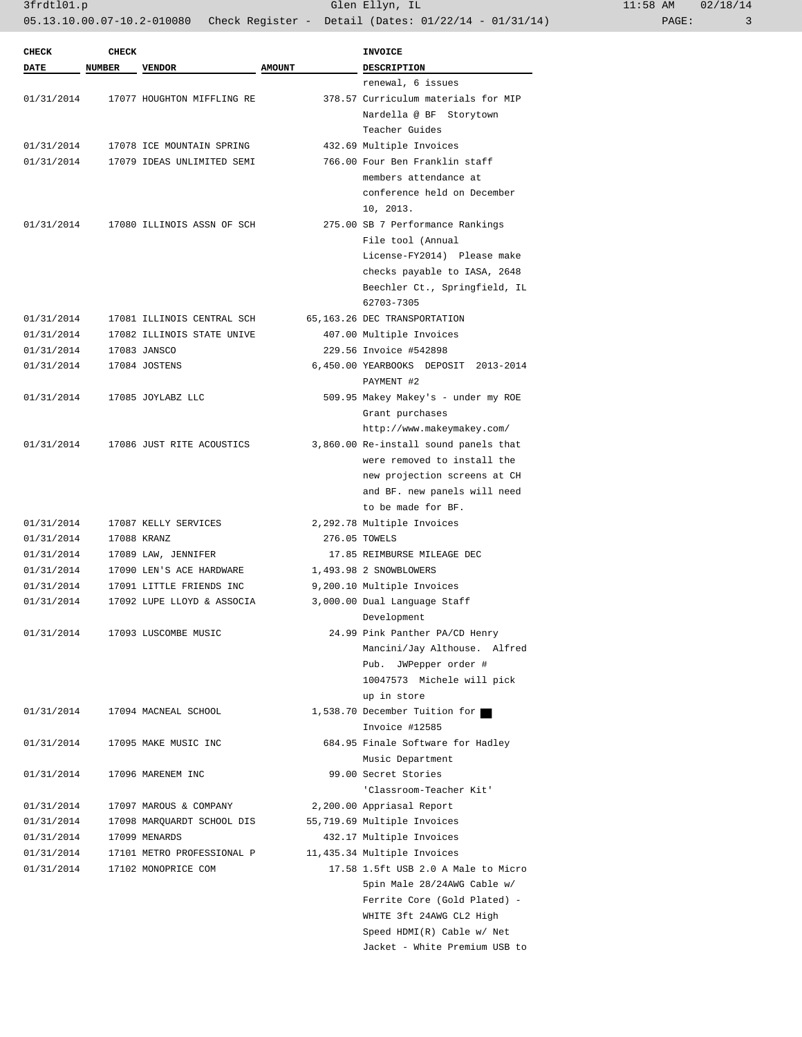3frdtl01.p Glen Ellyn, IL 11:58 AM 02/18/14

05.13.10.00.07-10.2-010080 Check Register - Detail (Dates: 01/22/14 - 01/31/14) PAGE: 3

| <b>CHECK</b> | <b>CHECK</b>  |                            |               | <b>INVOICE</b>                                     |
|--------------|---------------|----------------------------|---------------|----------------------------------------------------|
| DATE         | <b>NUMBER</b> | <b>VENDOR</b>              | <b>AMOUNT</b> | <b>DESCRIPTION</b>                                 |
|              |               |                            |               | renewal, 6 issues                                  |
| 01/31/2014   |               | 17077 HOUGHTON MIFFLING RE |               | 378.57 Curriculum materials for MIP                |
|              |               |                            |               | Nardella @ BF Storytown                            |
|              |               |                            |               | Teacher Guides                                     |
| 01/31/2014   |               | 17078 ICE MOUNTAIN SPRING  |               | 432.69 Multiple Invoices                           |
| 01/31/2014   |               | 17079 IDEAS UNLIMITED SEMI |               | 766.00 Four Ben Franklin staff                     |
|              |               |                            |               | members attendance at                              |
|              |               |                            |               | conference held on December                        |
|              |               |                            |               | 10, 2013.                                          |
| 01/31/2014   |               | 17080 ILLINOIS ASSN OF SCH |               | 275.00 SB 7 Performance Rankings                   |
|              |               |                            |               | File tool (Annual                                  |
|              |               |                            |               | License-FY2014) Please make                        |
|              |               |                            |               | checks payable to IASA, 2648                       |
|              |               |                            |               | Beechler Ct., Springfield, IL                      |
|              |               |                            |               | 62703-7305                                         |
| 01/31/2014   |               | 17081 ILLINOIS CENTRAL SCH |               | 65,163.26 DEC TRANSPORTATION                       |
| 01/31/2014   |               | 17082 ILLINOIS STATE UNIVE |               | 407.00 Multiple Invoices                           |
| 01/31/2014   |               | 17083 JANSCO               |               | 229.56 Invoice #542898                             |
| 01/31/2014   |               | 17084 JOSTENS              |               | 6,450.00 YEARBOOKS DEPOSIT 2013-2014<br>PAYMENT #2 |
| 01/31/2014   |               | 17085 JOYLABZ LLC          |               | 509.95 Makey Makey's - under my ROE                |
|              |               |                            |               | Grant purchases                                    |
|              |               |                            |               | http://www.makeymakey.com/                         |
| 01/31/2014   |               | 17086 JUST RITE ACOUSTICS  |               | 3,860.00 Re-install sound panels that              |
|              |               |                            |               | were removed to install the                        |
|              |               |                            |               | new projection screens at CH                       |
|              |               |                            |               | and BF. new panels will need                       |
|              |               |                            |               | to be made for BF.                                 |
|              |               |                            |               |                                                    |
| 01/31/2014   |               | 17087 KELLY SERVICES       |               | 2,292.78 Multiple Invoices                         |
| 01/31/2014   |               | 17088 KRANZ                |               | 276.05 TOWELS                                      |
| 01/31/2014   |               | 17089 LAW, JENNIFER        |               | 17.85 REIMBURSE MILEAGE DEC                        |
| 01/31/2014   |               | 17090 LEN'S ACE HARDWARE   |               | 1,493.98 2 SNOWBLOWERS                             |
| 01/31/2014   |               | 17091 LITTLE FRIENDS INC   |               | 9,200.10 Multiple Invoices                         |
| 01/31/2014   |               | 17092 LUPE LLOYD & ASSOCIA |               | 3,000.00 Dual Language Staff                       |
|              |               |                            |               | Development                                        |
| 01/31/2014   |               | 17093 LUSCOMBE MUSIC       |               | 24.99 Pink Panther PA/CD Henry                     |
|              |               |                            |               | Mancini/Jay Althouse. Alfred                       |
|              |               |                            |               | Pub. JWPepper order #                              |
|              |               |                            |               | 10047573 Michele will pick                         |
|              |               |                            |               | up in store                                        |
| 01/31/2014   |               | 17094 MACNEAL SCHOOL       |               | 1,538.70 December Tuition for                      |
|              |               |                            |               | Invoice #12585                                     |
| 01/31/2014   |               | 17095 MAKE MUSIC INC       |               | 684.95 Finale Software for Hadley                  |
|              |               |                            |               | Music Department                                   |
| 01/31/2014   |               | 17096 MARENEM INC          |               | 99.00 Secret Stories                               |
|              |               |                            |               | 'Classroom-Teacher Kit'                            |
| 01/31/2014   |               | 17097 MAROUS & COMPANY     |               | 2,200.00 Appriasal Report                          |
| 01/31/2014   |               | 17098 MARQUARDT SCHOOL DIS |               | 55,719.69 Multiple Invoices                        |
| 01/31/2014   |               | 17099 MENARDS              |               | 432.17 Multiple Invoices                           |
| 01/31/2014   |               | 17101 METRO PROFESSIONAL P |               | 11,435.34 Multiple Invoices                        |
| 01/31/2014   |               | 17102 MONOPRICE COM        |               | 17.58 1.5ft USB 2.0 A Male to Micro                |
|              |               |                            |               | 5pin Male 28/24AWG Cable w/                        |
|              |               |                            |               | Ferrite Core (Gold Plated) -                       |
|              |               |                            |               |                                                    |
|              |               |                            |               | WHITE 3ft 24AWG CL2 High                           |
|              |               |                            |               | Speed HDMI(R) Cable w/ Net                         |
|              |               |                            |               | Jacket - White Premium USB to                      |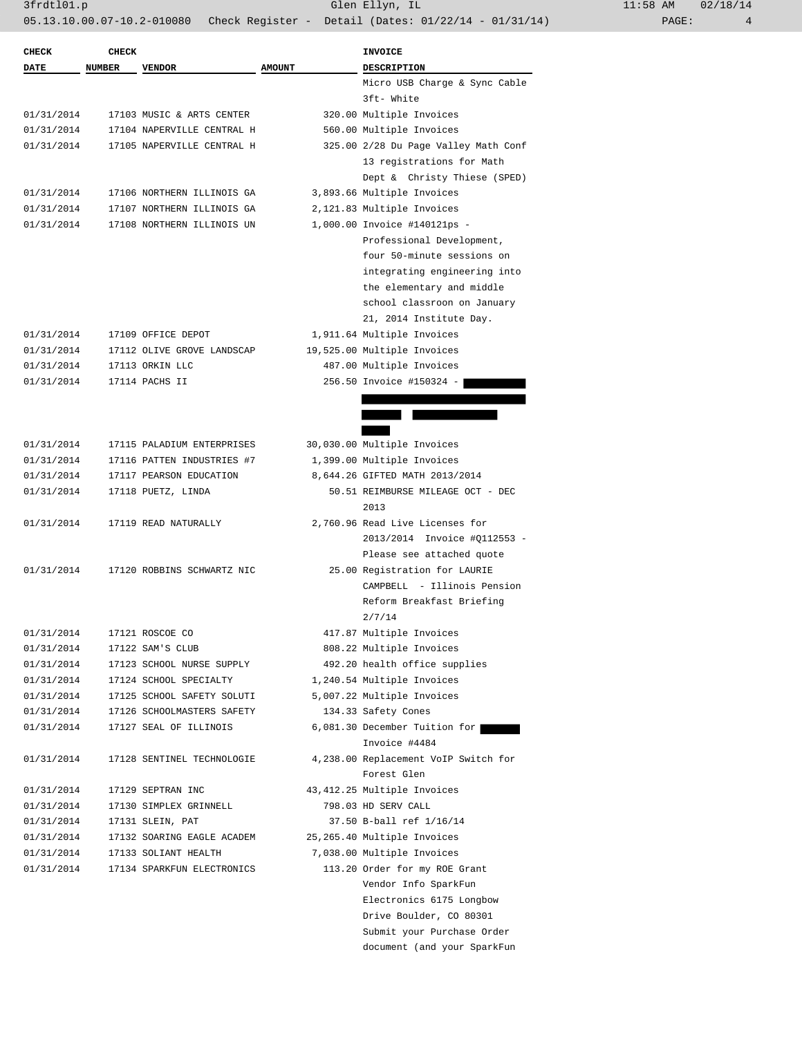| CHECK       | <b>CHECK</b>  |                            |               | <b>INVOICE</b>                       |
|-------------|---------------|----------------------------|---------------|--------------------------------------|
| <b>DATE</b> | <b>NUMBER</b> | <b>VENDOR</b>              | <b>AMOUNT</b> | <b>DESCRIPTION</b>                   |
|             |               |                            |               | Micro USB Charge & Sync Cable        |
|             |               |                            |               | 3ft- White                           |
| 01/31/2014  |               | 17103 MUSIC & ARTS CENTER  |               | 320.00 Multiple Invoices             |
| 01/31/2014  |               | 17104 NAPERVILLE CENTRAL H |               | 560.00 Multiple Invoices             |
| 01/31/2014  |               | 17105 NAPERVILLE CENTRAL H |               | 325.00 2/28 Du Page Valley Math Conf |
|             |               |                            |               | 13 registrations for Math            |
|             |               |                            |               | Dept & Christy Thiese (SPED)         |
| 01/31/2014  |               | 17106 NORTHERN ILLINOIS GA |               | 3,893.66 Multiple Invoices           |
| 01/31/2014  |               | 17107 NORTHERN ILLINOIS GA |               | 2,121.83 Multiple Invoices           |
| 01/31/2014  |               | 17108 NORTHERN ILLINOIS UN |               | 1,000.00 Invoice #140121ps -         |
|             |               |                            |               | Professional Development,            |
|             |               |                            |               | four 50-minute sessions on           |
|             |               |                            |               | integrating engineering into         |
|             |               |                            |               | the elementary and middle            |
|             |               |                            |               | school classroon on January          |
|             |               |                            |               | 21, 2014 Institute Day.              |
| 01/31/2014  |               | 17109 OFFICE DEPOT         |               | 1,911.64 Multiple Invoices           |
| 01/31/2014  |               | 17112 OLIVE GROVE LANDSCAP |               | 19,525.00 Multiple Invoices          |
| 01/31/2014  |               | 17113 ORKIN LLC            |               | 487.00 Multiple Invoices             |
| 01/31/2014  |               | 17114 PACHS II             |               | 256.50 Invoice #150324 -             |
|             |               |                            |               |                                      |
|             |               |                            |               |                                      |
|             |               |                            |               |                                      |
| 01/31/2014  |               | 17115 PALADIUM ENTERPRISES |               | 30,030.00 Multiple Invoices          |
| 01/31/2014  |               | 17116 PATTEN INDUSTRIES #7 |               | 1,399.00 Multiple Invoices           |
| 01/31/2014  |               | 17117 PEARSON EDUCATION    |               | 8,644.26 GIFTED MATH 2013/2014       |
| 01/31/2014  |               | 17118 PUETZ, LINDA         |               | 50.51 REIMBURSE MILEAGE OCT - DEC    |
|             |               |                            |               | 2013                                 |
| 01/31/2014  |               | 17119 READ NATURALLY       |               | 2,760.96 Read Live Licenses for      |
|             |               |                            |               | 2013/2014 Invoice #Q112553 -         |
|             |               |                            |               | Please see attached quote            |
| 01/31/2014  |               | 17120 ROBBINS SCHWARTZ NIC |               | 25.00 Registration for LAURIE        |
|             |               |                            |               | CAMPBELL - Illinois Pension          |
|             |               |                            |               | Reform Breakfast Briefing            |
|             |               |                            |               | 2/7/14                               |
| 01/31/2014  |               | 17121 ROSCOE CO            |               | 417.87 Multiple Invoices             |
| 01/31/2014  |               | 17122 SAM'S CLUB           |               | 808.22 Multiple Invoices             |
| 01/31/2014  |               | 17123 SCHOOL NURSE SUPPLY  |               | 492.20 health office supplies        |
| 01/31/2014  |               | 17124 SCHOOL SPECIALTY     |               | 1,240.54 Multiple Invoices           |
| 01/31/2014  |               | 17125 SCHOOL SAFETY SOLUTI |               | 5,007.22 Multiple Invoices           |
| 01/31/2014  |               | 17126 SCHOOLMASTERS SAFETY |               | 134.33 Safety Cones                  |
| 01/31/2014  |               | 17127 SEAL OF ILLINOIS     |               | 6,081.30 December Tuition for        |
|             |               |                            |               | Invoice #4484                        |
|             |               |                            |               | 4,238.00 Replacement VoIP Switch for |
| 01/31/2014  |               | 17128 SENTINEL TECHNOLOGIE |               |                                      |
|             |               |                            |               | Forest Glen                          |
| 01/31/2014  |               | 17129 SEPTRAN INC          |               | 43, 412.25 Multiple Invoices         |
| 01/31/2014  |               | 17130 SIMPLEX GRINNELL     |               | 798.03 HD SERV CALL                  |
| 01/31/2014  |               | 17131 SLEIN, PAT           |               | 37.50 B-ball ref 1/16/14             |
| 01/31/2014  |               | 17132 SOARING EAGLE ACADEM |               | 25,265.40 Multiple Invoices          |
| 01/31/2014  |               | 17133 SOLIANT HEALTH       |               | 7,038.00 Multiple Invoices           |
| 01/31/2014  |               | 17134 SPARKFUN ELECTRONICS |               | 113.20 Order for my ROE Grant        |
|             |               |                            |               | Vendor Info SparkFun                 |
|             |               |                            |               | Electronics 6175 Longbow             |
|             |               |                            |               | Drive Boulder, CO 80301              |
|             |               |                            |               | Submit your Purchase Order           |

document (and your SparkFun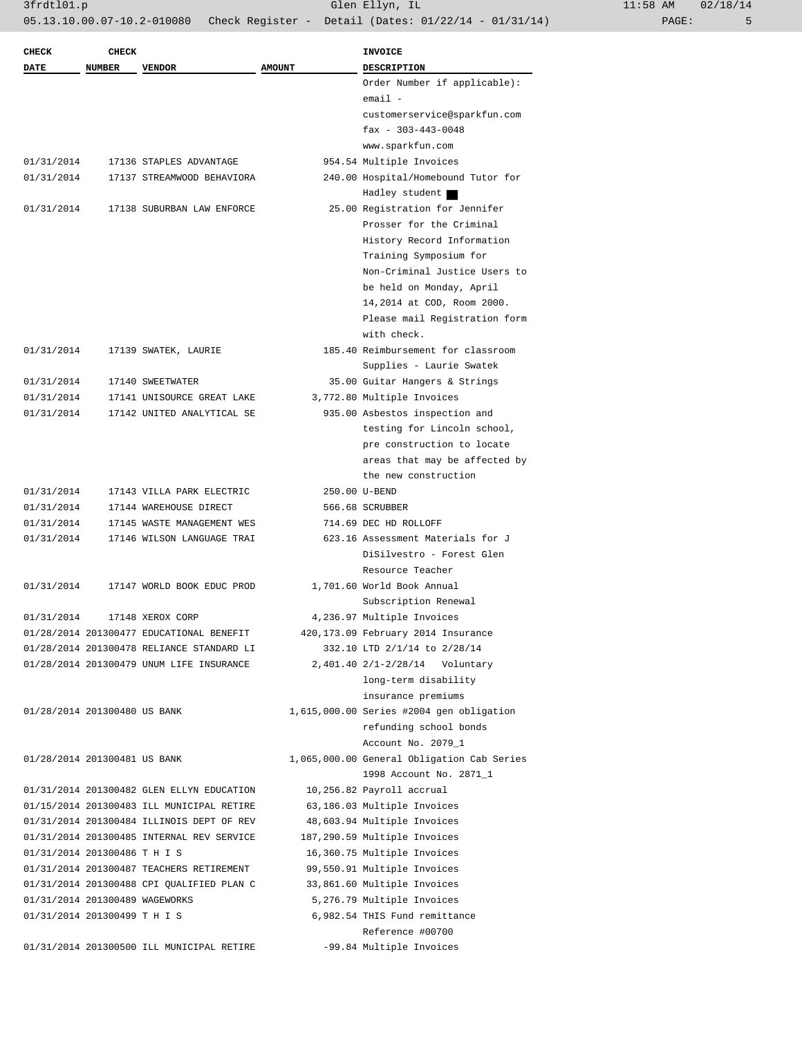| 11:58 AM |       | 02/18/14 |
|----------|-------|----------|
|          | PAGE: |          |

| <b>CHECK</b> | <b>CHECK</b>                   |                                           |               | <b>INVOICE</b>                             |
|--------------|--------------------------------|-------------------------------------------|---------------|--------------------------------------------|
| <b>DATE</b>  | <b>NUMBER</b>                  | <b>VENDOR</b>                             | <b>AMOUNT</b> | <b>DESCRIPTION</b>                         |
|              |                                |                                           |               | Order Number if applicable):               |
|              |                                |                                           |               | $email -$                                  |
|              |                                |                                           |               | customerservice@sparkfun.com               |
|              |                                |                                           |               | $\text{fax} - 303 - 443 - 0048$            |
|              |                                |                                           |               | www.sparkfun.com                           |
| 01/31/2014   |                                | 17136 STAPLES ADVANTAGE                   |               | 954.54 Multiple Invoices                   |
| 01/31/2014   |                                | 17137 STREAMWOOD BEHAVIORA                |               | 240.00 Hospital/Homebound Tutor for        |
|              |                                |                                           |               | Hadley student                             |
| 01/31/2014   |                                | 17138 SUBURBAN LAW ENFORCE                |               | 25.00 Registration for Jennifer            |
|              |                                |                                           |               | Prosser for the Criminal                   |
|              |                                |                                           |               | History Record Information                 |
|              |                                |                                           |               | Training Symposium for                     |
|              |                                |                                           |               | Non-Criminal Justice Users to              |
|              |                                |                                           |               | be held on Monday, April                   |
|              |                                |                                           |               | 14,2014 at COD, Room 2000.                 |
|              |                                |                                           |               | Please mail Registration form              |
|              |                                |                                           |               | with check.                                |
| 01/31/2014   |                                | 17139 SWATEK, LAURIE                      |               | 185.40 Reimbursement for classroom         |
|              |                                |                                           |               | Supplies - Laurie Swatek                   |
| 01/31/2014   |                                | 17140 SWEETWATER                          |               | 35.00 Guitar Hangers & Strings             |
| 01/31/2014   |                                | 17141 UNISOURCE GREAT LAKE                |               | 3,772.80 Multiple Invoices                 |
| 01/31/2014   |                                | 17142 UNITED ANALYTICAL SE                |               | 935.00 Asbestos inspection and             |
|              |                                |                                           |               | testing for Lincoln school,                |
|              |                                |                                           |               | pre construction to locate                 |
|              |                                |                                           |               | areas that may be affected by              |
|              |                                |                                           |               | the new construction                       |
| 01/31/2014   |                                | 17143 VILLA PARK ELECTRIC                 |               | 250.00 U-BEND                              |
| 01/31/2014   |                                | 17144 WAREHOUSE DIRECT                    |               | 566.68 SCRUBBER                            |
| 01/31/2014   |                                | 17145 WASTE MANAGEMENT WES                |               | 714.69 DEC HD ROLLOFF                      |
| 01/31/2014   |                                | 17146 WILSON LANGUAGE TRAI                |               | 623.16 Assessment Materials for J          |
|              |                                |                                           |               | DiSilvestro - Forest Glen                  |
|              |                                |                                           |               | Resource Teacher                           |
| 01/31/2014   |                                | 17147 WORLD BOOK EDUC PROD                |               | 1,701.60 World Book Annual                 |
|              |                                |                                           |               | Subscription Renewal                       |
| 01/31/2014   |                                | 17148 XEROX CORP                          |               | 4,236.97 Multiple Invoices                 |
|              |                                | 01/28/2014 201300477 EDUCATIONAL BENEFIT  |               | 420, 173.09 February 2014 Insurance        |
|              |                                | 01/28/2014 201300478 RELIANCE STANDARD LI |               | 332.10 LTD 2/1/14 to 2/28/14               |
|              |                                | 01/28/2014 201300479 UNUM LIFE INSURANCE  |               | 2,401.40 2/1-2/28/14 Voluntary             |
|              |                                |                                           |               | long-term disability                       |
|              |                                |                                           |               | insurance premiums                         |
|              | 01/28/2014 201300480 US BANK   |                                           |               | 1,615,000.00 Series #2004 gen obligation   |
|              |                                |                                           |               | refunding school bonds                     |
|              |                                |                                           |               | Account No. 2079_1                         |
|              | 01/28/2014 201300481 US BANK   |                                           |               | 1,065,000.00 General Obligation Cab Series |
|              |                                |                                           |               | 1998 Account No. 2871_1                    |
|              |                                | 01/31/2014 201300482 GLEN ELLYN EDUCATION |               | 10,256.82 Payroll accrual                  |
|              |                                | 01/15/2014 201300483 ILL MUNICIPAL RETIRE |               | 63,186.03 Multiple Invoices                |
|              |                                | 01/31/2014 201300484 ILLINOIS DEPT OF REV |               | 48,603.94 Multiple Invoices                |
|              |                                | 01/31/2014 201300485 INTERNAL REV SERVICE |               | 187,290.59 Multiple Invoices               |
|              | 01/31/2014 201300486 T H I S   |                                           |               | 16,360.75 Multiple Invoices                |
|              |                                | 01/31/2014 201300487 TEACHERS RETIREMENT  |               | 99,550.91 Multiple Invoices                |
|              |                                | 01/31/2014 201300488 CPI QUALIFIED PLAN C |               | 33,861.60 Multiple Invoices                |
|              | 01/31/2014 201300489 WAGEWORKS |                                           |               | 5,276.79 Multiple Invoices                 |
|              | 01/31/2014 201300499 T H I S   |                                           |               | 6,982.54 THIS Fund remittance              |
|              |                                |                                           |               | Reference #00700                           |
|              |                                | 01/31/2014 201300500 ILL MUNICIPAL RETIRE |               | -99.84 Multiple Invoices                   |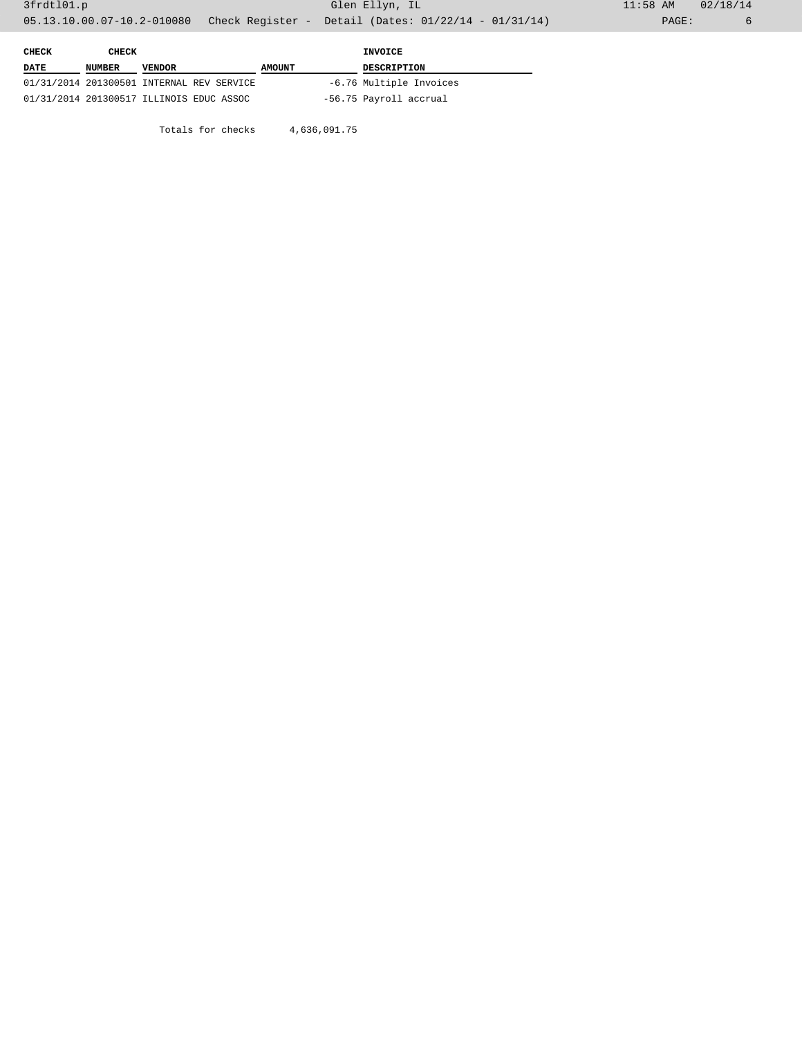| CHECK       | CHECK         |                                           |        | INVOICE                 |
|-------------|---------------|-------------------------------------------|--------|-------------------------|
| <b>DATE</b> | <b>NUMBER</b> | <b>VENDOR</b>                             | AMOUNT | <b>DESCRIPTION</b>      |
|             |               | 01/31/2014 201300501 INTERNAL REV SERVICE |        | -6.76 Multiple Invoices |
|             |               | 01/31/2014 201300517 ILLINOIS EDUC ASSOC  |        | -56.75 Payroll accrual  |

Totals for checks 4,636,091.75